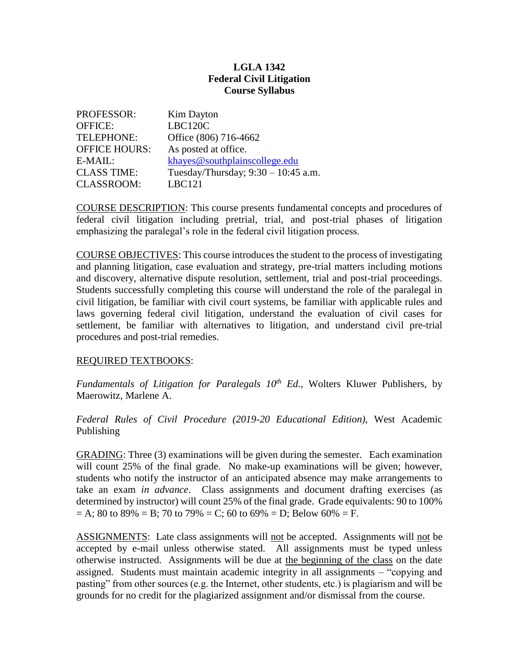## **LGLA 1342 Federal Civil Litigation Course Syllabus**

| <b>PROFESSOR:</b>    | <b>Kim Dayton</b>                     |
|----------------------|---------------------------------------|
| <b>OFFICE:</b>       | LBC120C                               |
| TELEPHONE:           | Office (806) 716-4662                 |
| <b>OFFICE HOURS:</b> | As posted at office.                  |
| $E-MAIL:$            | khayes@southplainscollege.edu         |
| <b>CLASS TIME:</b>   | Tuesday/Thursday; $9:30 - 10:45$ a.m. |
| <b>CLASSROOM:</b>    | <b>LBC121</b>                         |

COURSE DESCRIPTION: This course presents fundamental concepts and procedures of federal civil litigation including pretrial, trial, and post-trial phases of litigation emphasizing the paralegal's role in the federal civil litigation process.

COURSE OBJECTIVES: This course introduces the student to the process of investigating and planning litigation, case evaluation and strategy, pre-trial matters including motions and discovery, alternative dispute resolution, settlement, trial and post-trial proceedings. Students successfully completing this course will understand the role of the paralegal in civil litigation, be familiar with civil court systems, be familiar with applicable rules and laws governing federal civil litigation, understand the evaluation of civil cases for settlement, be familiar with alternatives to litigation, and understand civil pre-trial procedures and post-trial remedies.

## REQUIRED TEXTBOOKS:

*Fundamentals of Litigation for Paralegals 10th Ed.*, Wolters Kluwer Publishers, by Maerowitz, Marlene A.

*Federal Rules of Civil Procedure (2019-20 Educational Edition)*, West Academic Publishing

GRADING: Three (3) examinations will be given during the semester. Each examination will count 25% of the final grade. No make-up examinations will be given; however, students who notify the instructor of an anticipated absence may make arrangements to take an exam *in advance*. Class assignments and document drafting exercises (as determined by instructor) will count 25% of the final grade. Grade equivalents: 90 to 100%  $= A$ ; 80 to 89% = B; 70 to 79% = C; 60 to 69% = D; Below 60% = F.

ASSIGNMENTS: Late class assignments will not be accepted. Assignments will not be accepted by e-mail unless otherwise stated. All assignments must be typed unless otherwise instructed. Assignments will be due at the beginning of the class on the date assigned. Students must maintain academic integrity in all assignments – "copying and pasting" from other sources (e.g. the Internet, other students, etc.) is plagiarism and will be grounds for no credit for the plagiarized assignment and/or dismissal from the course.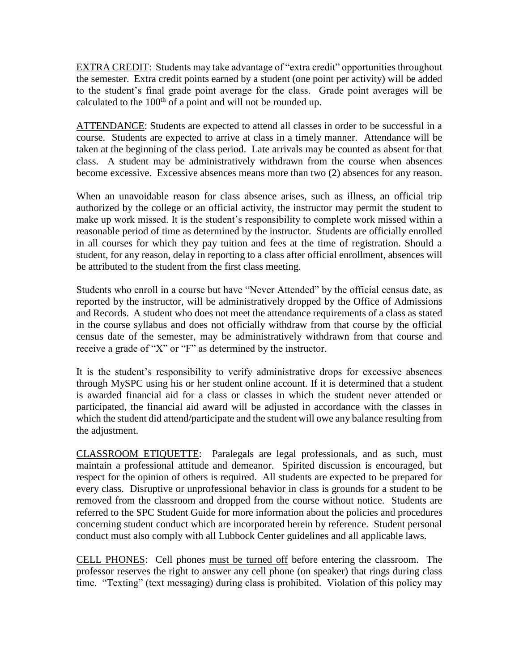EXTRA CREDIT: Students may take advantage of "extra credit" opportunities throughout the semester. Extra credit points earned by a student (one point per activity) will be added to the student's final grade point average for the class. Grade point averages will be calculated to the  $100<sup>th</sup>$  of a point and will not be rounded up.

ATTENDANCE: Students are expected to attend all classes in order to be successful in a course. Students are expected to arrive at class in a timely manner. Attendance will be taken at the beginning of the class period. Late arrivals may be counted as absent for that class. A student may be administratively withdrawn from the course when absences become excessive. Excessive absences means more than two (2) absences for any reason.

When an unavoidable reason for class absence arises, such as illness, an official trip authorized by the college or an official activity, the instructor may permit the student to make up work missed. It is the student's responsibility to complete work missed within a reasonable period of time as determined by the instructor. Students are officially enrolled in all courses for which they pay tuition and fees at the time of registration. Should a student, for any reason, delay in reporting to a class after official enrollment, absences will be attributed to the student from the first class meeting.

Students who enroll in a course but have "Never Attended" by the official census date, as reported by the instructor, will be administratively dropped by the Office of Admissions and Records. A student who does not meet the attendance requirements of a class as stated in the course syllabus and does not officially withdraw from that course by the official census date of the semester, may be administratively withdrawn from that course and receive a grade of "X" or "F" as determined by the instructor.

It is the student's responsibility to verify administrative drops for excessive absences through MySPC using his or her student online account. If it is determined that a student is awarded financial aid for a class or classes in which the student never attended or participated, the financial aid award will be adjusted in accordance with the classes in which the student did attend/participate and the student will owe any balance resulting from the adjustment.

CLASSROOM ETIQUETTE: Paralegals are legal professionals, and as such, must maintain a professional attitude and demeanor. Spirited discussion is encouraged, but respect for the opinion of others is required. All students are expected to be prepared for every class. Disruptive or unprofessional behavior in class is grounds for a student to be removed from the classroom and dropped from the course without notice. Students are referred to the SPC Student Guide for more information about the policies and procedures concerning student conduct which are incorporated herein by reference. Student personal conduct must also comply with all Lubbock Center guidelines and all applicable laws.

CELL PHONES: Cell phones must be turned off before entering the classroom. The professor reserves the right to answer any cell phone (on speaker) that rings during class time. "Texting" (text messaging) during class is prohibited. Violation of this policy may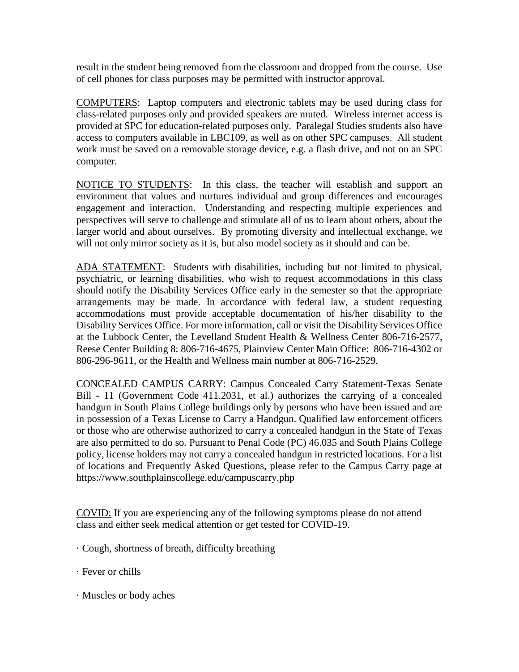result in the student being removed from the classroom and dropped from the course. Use of cell phones for class purposes may be permitted with instructor approval.

COMPUTERS: Laptop computers and electronic tablets may be used during class for class-related purposes only and provided speakers are muted. Wireless internet access is provided at SPC for education-related purposes only. Paralegal Studies students also have access to computers available in LBC109, as well as on other SPC campuses. All student work must be saved on a removable storage device, e.g. a flash drive, and not on an SPC computer.

NOTICE TO STUDENTS: In this class, the teacher will establish and support an environment that values and nurtures individual and group differences and encourages engagement and interaction. Understanding and respecting multiple experiences and perspectives will serve to challenge and stimulate all of us to learn about others, about the larger world and about ourselves. By promoting diversity and intellectual exchange, we will not only mirror society as it is, but also model society as it should and can be.

ADA STATEMENT: Students with disabilities, including but not limited to physical, psychiatric, or learning disabilities, who wish to request accommodations in this class should notify the Disability Services Office early in the semester so that the appropriate arrangements may be made. In accordance with federal law, a student requesting accommodations must provide acceptable documentation of his/her disability to the Disability Services Office. For more information, call or visit the Disability Services Office at the Lubbock Center, the Levelland Student Health & Wellness Center 806-716-2577, Reese Center Building 8: 806-716-4675, Plainview Center Main Office: 806-716-4302 or 806-296-9611, or the Health and Wellness main number at 806-716-2529.

CONCEALED CAMPUS CARRY: Campus Concealed Carry Statement-Texas Senate Bill - 11 (Government Code 411.2031, et al.) authorizes the carrying of a concealed handgun in South Plains College buildings only by persons who have been issued and are in possession of a Texas License to Carry a Handgun. Qualified law enforcement officers or those who are otherwise authorized to carry a concealed handgun in the State of Texas are also permitted to do so. Pursuant to Penal Code (PC) 46.035 and South Plains College policy, license holders may not carry a concealed handgun in restricted locations. For a list of locations and Frequently Asked Questions, please refer to the Campus Carry page at https://www.southplainscollege.edu/campuscarry.php

COVID: If you are experiencing any of the following symptoms please do not attend class and either seek medical attention or get tested for COVID-19.

- · Cough, shortness of breath, difficulty breathing
- · Fever or chills
- · Muscles or body aches